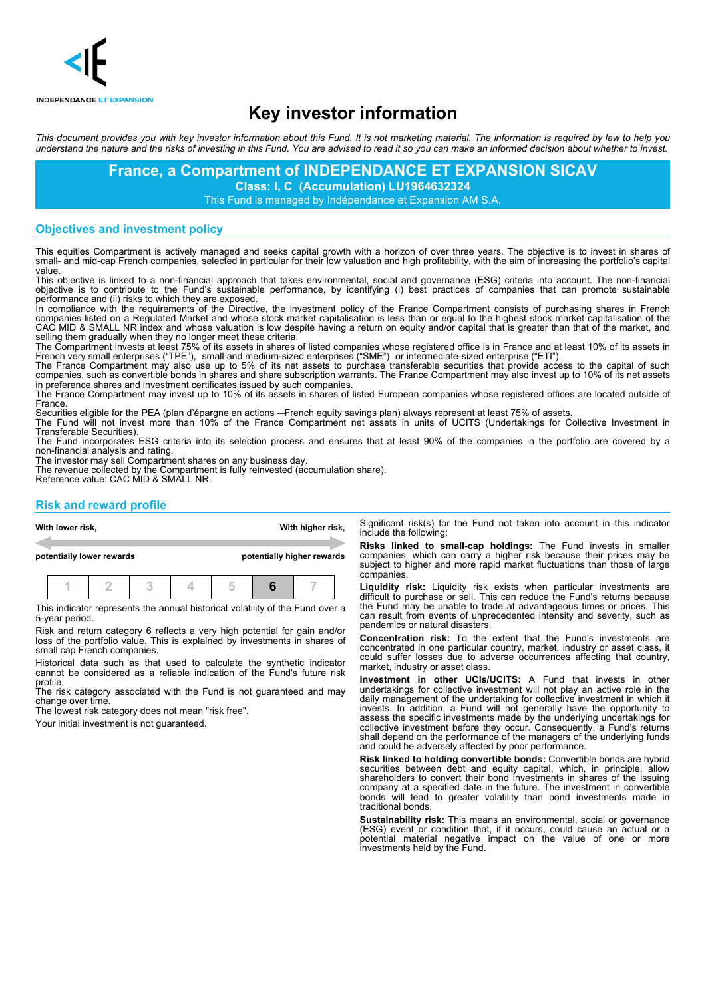

# **Key investor information**

This document provides you with key investor information about this Fund. It is not marketing material. The information is required by law to help you understand the nature and the risks of investing in this Fund. You are advised to read it so you can make an informed decision about whether to invest.

## **France, a Compartment of INDEPENDANCE ET EXPANSION SICAV Class: I, C (Accumulation) LU1964632324**

This Fund is managed by Indépendance et Expansion AM S.A.

#### **Objectives and investment policy**

This equities Compartment is actively managed and seeks capital growth with a horizon of over three years. The objective is to invest in shares of small- and mid-cap French companies, selected in particular for their low valuation and high profitability, with the aim of increasing the portfolio's capital value.

This objective is linked to a non-financial approach that takes environmental, social and governance (ESG) criteria into account. The non-financial objective is to contribute to the Fund's sustainable performance, by identifying (i) best practices of companies that can promote sustainable performance and (ii) risks to which they are exposed.

In compliance with the requirements of the Directive, the investment policy of the France Compartment consists of purchasing shares in French companies listed on a Regulated Market and whose stock market capitalisation is less than or equal to the highest stock market capitalisation of the CAC MID & SMALL NR index and whose valuation is low despite having a return on equity and/or capital that is greater than that of the market, and selling them gradually when they no longer meet these criteria.

The Compartment invests at least 75% of its assets in shares of listed companies whose registered office is in France and at least 10% of its assets in French very small enterprises ("TPE"), small and medium-sized enterprises ("SME") or intermediate-sized enterprise ("ETI").

The France Compartment may also use up to 5% of its net assets to purchase transferable securities that provide access to the capital of such companies, such as convertible bonds in shares and share subscription warrants. The France Compartment may also invest up to 10% of its net assets in preference shares and investment certificates issued by such companies.

The France Compartment may invest up to 10% of its assets in shares of listed European companies whose registered offices are located outside of France.

Securities eligible for the PEA (plan d'épargne en actions —French equity savings plan) always represent at least 75% of assets. The Fund will not invest more than 10% of the France Compartment net assets in units of UCITS (Undertakings for Collective Investment in Transferable Securities).

The Fund incorporates ESG criteria into its selection process and ensures that at least 90% of the companies in the portfolio are covered by a non-financial analysis and rating.

The investor may sell Compartment shares on any business day.

The revenue collected by the Compartment is fully reinvested (accumulation share). Reference value: CAC MID & SMALL NR.

### **Risk and reward profile**

|                           | With lower risk, |                               |  |                            |  |  | With higher risk,                                                                                                                                                       | Significant risk(s) for the Fund not taken into account<br>include the following: |
|---------------------------|------------------|-------------------------------|--|----------------------------|--|--|-------------------------------------------------------------------------------------------------------------------------------------------------------------------------|-----------------------------------------------------------------------------------|
| potentially lower rewards |                  |                               |  | potentially higher rewards |  |  | Risks linked to small-cap holdings: The Fund inv<br>companies, which can carry a higher risk because their<br>subject to higher and more rapid market fluctuations that |                                                                                   |
|                           |                  | $1 \mid 2 \mid 3 \mid 4 \mid$ |  |                            |  |  |                                                                                                                                                                         | companies.<br>Liquidity risk: Liquidity risk exists when particular in            |

This indicator represents the annual historical volatility of the Fund over a 5-year period.

Risk and return category 6 reflects a very high potential for gain and/or loss of the portfolio value. This is explained by investments in shares of small cap French companies.

Historical data such as that used to calculate the synthetic indicator cannot be considered as a reliable indication of the Fund's future risk

profile. The risk category associated with the Fund is not guaranteed and may change over time.

The lowest risk category does not mean "risk free".

Your initial investment is not guaranteed.

in this indicator

**Right Risks** in smaller prices may be n those of large

nvestments are difficult to purchase or sell. This can reduce the Fund's returns because the Fund may be unable to trade at advantageous times or prices. This can result from events of unprecedented intensity and severity, such as pandemics or natural disasters.

**Concentration risk:** To the extent that the Fund's investments are concentrated in one particular country, market, industry or asset class, it could suffer losses due to adverse occurrences affecting that country, market, industry or asset class.

**Investment in other UCIs/UCITS:** A Fund that invests in other undertakings for collective investment will not play an active role in the daily management of the undertaking for collective investment in which it invests. In addition, a Fund will not generally have the opportunity to assess the specific investments made by the underlying undertakings for collective investment before they occur. Consequently, a Fund's returns shall depend on the performance of the managers of the underlying funds and could be adversely affected by poor performance.

**Risk linked to holding convertible bonds:** Convertible bonds are hybrid securities between debt and equity capital, which, in principle, allow shareholders to convert their bond investments in shares of the issuing company at a specified date in the future. The investment in convertible bonds will lead to greater volatility than bond investments made in traditional bonds.

**Sustainability risk:** This means an environmental, social or governance (ESG) event or condition that, if it occurs, could cause an actual or a potential material negative impact on the value of one or more investments held by the Fund.